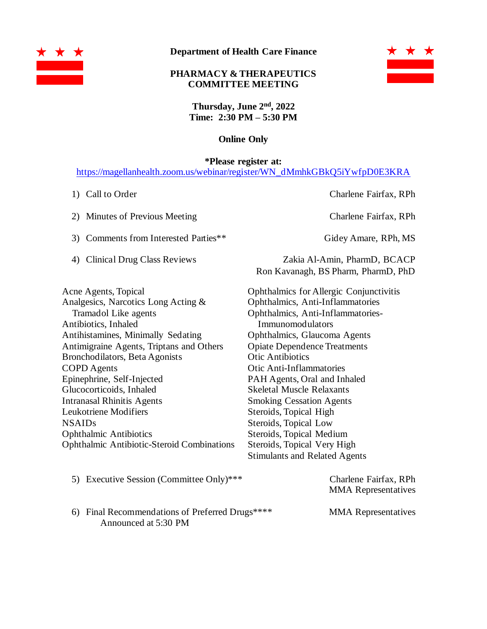

**Department of Health Care Finance**

## **PHARMACY & THERAPEUTICS COMMITTEE MEETING**



**Thursday, June 2 nd , 2022 Time: 2:30 PM – 5:30 PM**

## **Online Only**

**\*Please register at:**

[https://magellanhealth.zoom.us/webinar/register/WN\\_dMmhkGBkQ5iYwfpD0E3KRA](https://magellanhealth.zoom.us/webinar/register/WN_dMmhkGBkQ5iYwfpD0E3KRA)

- 
- 2) Minutes of Previous Meeting Charlene Fairfax, RPh
- 3) Comments from Interested Parties\*\* Gidey Amare, RPh, MS
- 

1) Call to Order Charlene Fairfax, RPh

4) Clinical Drug Class Reviews Zakia Al-Amin, PharmD, BCACP Ron Kavanagh, BS Pharm, PharmD, PhD

Acne Agents, Topical Analgesics, Narcotics Long Acting & Tramadol Like agents Antibiotics, Inhaled Antihistamines, Minimally Sedating Antimigraine Agents, Triptans and Others Bronchodilators, Beta Agonists COPD Agents Epinephrine, Self-Injected Glucocorticoids, Inhaled Intranasal Rhinitis Agents Leukotriene Modifiers NSAIDs Ophthalmic Antibiotics Ophthalmic Antibiotic-Steroid Combinations Ophthalmics for Allergic Conjunctivitis Ophthalmics, Anti-Inflammatories Ophthalmics, Anti-Inflammatories-Immunomodulators Ophthalmics, Glaucoma Agents Opiate Dependence Treatments Otic Antibiotics Otic Anti-Inflammatories PAH Agents, Oral and Inhaled Skeletal Muscle Relaxants Smoking Cessation Agents Steroids, Topical High Steroids, Topical Low Steroids, Topical Medium Steroids, Topical Very High Stimulants and Related Agents

5) Executive Session (Committee Only)\*\*\* Charlene Fairfax, RPh MMA Representatives 6) Final Recommendations of Preferred Drugs\*\*\*\* MMA Representatives Announced at 5:30 PM